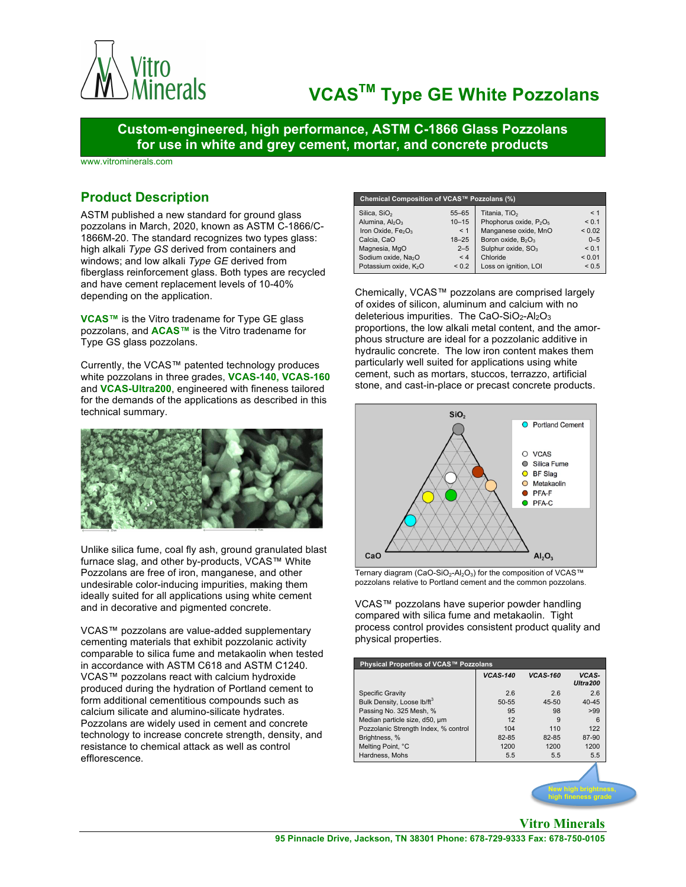

# **VCASTM Type GE White Pozzolans**

**Custom-engineered, high performance, ASTM C-1866 Glass Pozzolans for use in white and grey cement, mortar, and concrete products**

www.vitrominerals.com

## **Product Description**

ASTM published a new standard for ground glass pozzolans in March, 2020, known as ASTM C-1866/C-1866M-20. The standard recognizes two types glass: high alkali *Type GS* derived from containers and windows; and low alkali *Type GE* derived from fiberglass reinforcement glass. Both types are recycled and have cement replacement levels of 10-40% depending on the application.

**VCAS™** is the Vitro tradename for Type GE glass pozzolans, and **ACAS™** is the Vitro tradename for Type GS glass pozzolans.

Currently, the VCAS™ patented technology produces white pozzolans in three grades, **VCAS-140, VCAS-160** and **VCAS-Ultra200**, engineered with fineness tailored for the demands of the applications as described in this technical summary.



Unlike silica fume, coal fly ash, ground granulated blast furnace slag, and other by-products, VCAS™ White Pozzolans are free of iron, manganese, and other undesirable color-inducing impurities, making them ideally suited for all applications using white cement and in decorative and pigmented concrete.

VCAS™ pozzolans are value-added supplementary cementing materials that exhibit pozzolanic activity comparable to silica fume and metakaolin when tested in accordance with ASTM C618 and ASTM C1240. VCAS™ pozzolans react with calcium hydroxide produced during the hydration of Portland cement to form additional cementitious compounds such as calcium silicate and alumino-silicate hydrates. Pozzolans are widely used in cement and concrete technology to increase concrete strength, density, and resistance to chemical attack as well as control efflorescence.

| Chemical Composition of VCAS™ Pozzolans (%) |            |                                                |             |  |  |  |  |
|---------------------------------------------|------------|------------------------------------------------|-------------|--|--|--|--|
| Silica, SiO <sub>2</sub>                    | $55 - 65$  | Titania, TiO <sub>2</sub>                      | < 1         |  |  |  |  |
| Alumina, $Al_2O_3$                          | $10 - 15$  | Phophorus oxide, P <sub>2</sub> O <sub>5</sub> | < 0.1       |  |  |  |  |
| Iron Oxide, $Fe2O3$                         | < 1        | Manganese oxide, MnO                           | ${}_{0.02}$ |  |  |  |  |
| Calcia, CaO                                 | $18 - 25$  | Boron oxide, B <sub>2</sub> O <sub>3</sub>     | $0 - 5$     |  |  |  |  |
| Magnesia, MgO                               | $2 - 5$    | Sulphur oxide, SO <sub>3</sub>                 | < 0.1       |  |  |  |  |
| Sodium oxide, Na <sub>2</sub> O             | < 4        | Chloride                                       | < 0.01      |  |  |  |  |
| Potassium oxide, K <sub>2</sub> O           | ${}_{0.2}$ | Loss on ignition, LOI                          | < 0.5       |  |  |  |  |

Chemically, VCAS™ pozzolans are comprised largely of oxides of silicon, aluminum and calcium with no deleterious impurities. The CaO-SiO<sub>2</sub>-Al<sub>2</sub>O<sub>3</sub> proportions, the low alkali metal content, and the amorphous structure are ideal for a pozzolanic additive in hydraulic concrete. The low iron content makes them particularly well suited for applications using white cement, such as mortars, stuccos, terrazzo, artificial stone, and cast-in-place or precast concrete products.



Ternary diagram (CaO-SiO<sub>2</sub>-Al<sub>2</sub>O<sub>3</sub>) for the composition of VCAS™ pozzolans relative to Portland cement and the common pozzolans.

VCAS™ pozzolans have superior powder handling compared with silica fume and metakaolin. Tight process control provides consistent product quality and physical properties.

| Physical Properties of VCAS™ Pozzolans |                 |                 |                          |  |  |  |
|----------------------------------------|-----------------|-----------------|--------------------------|--|--|--|
|                                        | <b>VCAS-140</b> | <b>VCAS-160</b> | VCAS-<br><b>Ultra200</b> |  |  |  |
| <b>Specific Gravity</b>                | 2.6             | 2.6             | 2.6                      |  |  |  |
| Bulk Density, Loose Ib/ft3             | $50 - 55$       | 45-50           | $40 - 45$                |  |  |  |
| Passing No. 325 Mesh, %                | 95              | 98              | >99                      |  |  |  |
| Median particle size, d50, um          | 12              | 9               | 6                        |  |  |  |
| Pozzolanic Strength Index, % control   | 104             | 110             | 122                      |  |  |  |
| Brightness, %                          | 82-85           | 82-85           | 87-90                    |  |  |  |
| Melting Point, °C                      | 1200            | 1200            | 1200                     |  |  |  |
| Hardness, Mohs                         | 5.5             | 5.5             | 5.5                      |  |  |  |

**New high brightness, high fineness grade**